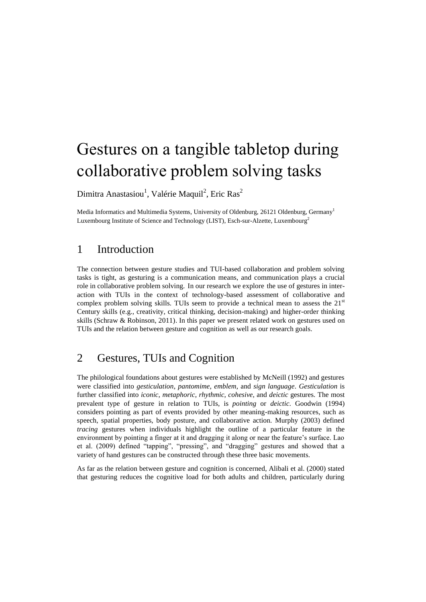# Gestures on a tangible tabletop during collaborative problem solving tasks

Dimitra Anastasiou<sup>1</sup>, Valérie Maquil<sup>2</sup>, Eric Ras<sup>2</sup>

Media Informatics and Multimedia Systems, University of Oldenburg, 26121 Oldenburg, Germany<sup>1</sup> Luxembourg Institute of Science and Technology (LIST), Esch-sur-Alzette, Luxembourg<sup>2</sup>

## 1 Introduction

The connection between gesture studies and TUI-based collaboration and problem solving tasks is tight, as gesturing is a communication means, and communication plays a crucial role in collaborative problem solving. In our research we explore the use of gestures in interaction with TUIs in the context of technology-based assessment of collaborative and complex problem solving skills. TUIs seem to provide a technical mean to assess the  $21<sup>st</sup>$ Century skills (e.g., creativity, critical thinking, decision-making) and higher-order thinking skills (Schraw & Robinson, 2011). In this paper we present related work on gestures used on TUIs and the relation between gesture and cognition as well as our research goals.

## 2 Gestures, TUIs and Cognition

The philological foundations about gestures were established by McNeill (1992) and gestures were classified into *gesticulation*, *pantomime*, *emblem*, and *sign language*. *Gesticulation* is further classified into *iconic*, *metaphoric*, *rhythmic*, *cohesive*, and *deictic* gestures. The most prevalent type of gesture in relation to TUIs, is *pointing* or *deictic*. Goodwin (1994) considers pointing as part of events provided by other meaning-making resources, such as speech, spatial properties, body posture, and collaborative action. Murphy (2003) defined *tracing* gestures when individuals highlight the outline of a particular feature in the environment by pointing a finger at it and dragging it along or near the feature's surface. Lao et al. (2009) defined "tapping", "pressing", and "dragging" gestures and showed that a variety of hand gestures can be constructed through these three basic movements.

As far as the relation between gesture and cognition is concerned, Alibali et al. (2000) stated that gesturing reduces the cognitive load for both adults and children, particularly during